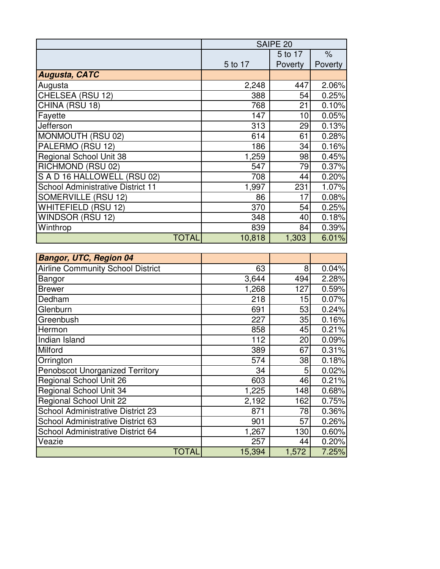|                                          | SAIPE 20 |         |         |
|------------------------------------------|----------|---------|---------|
|                                          |          | 5 to 17 | $\%$    |
|                                          | 5 to 17  | Poverty | Poverty |
| <b>Augusta, CATC</b>                     |          |         |         |
| Augusta                                  | 2,248    | 447     | 2.06%   |
| CHELSEA (RSU 12)                         | 388      | 54      | 0.25%   |
| CHINA (RSU 18)                           | 768      | 21      | 0.10%   |
| Fayette                                  | 147      | 10      | 0.05%   |
| Jefferson                                | 313      | 29      | 0.13%   |
| MONMOUTH (RSU 02)                        | 614      | 61      | 0.28%   |
| PALERMO (RSU 12)                         | 186      | 34      | 0.16%   |
| <b>Regional School Unit 38</b>           | 1,259    | 98      | 0.45%   |
| RICHMOND (RSU 02)                        | 547      | 79      | 0.37%   |
| S A D 16 HALLOWELL (RSU 02)              | 708      | 44      | 0.20%   |
| <b>School Administrative District 11</b> | 1,997    | 231     | 1.07%   |
| SOMERVILLE (RSU 12)                      | 86       | 17      | 0.08%   |
| <b>WHITEFIELD (RSU 12)</b>               | 370      | 54      | 0.25%   |
| WINDSOR (RSU 12)                         | 348      | 40      | 0.18%   |
| Winthrop                                 | 839      | 84      | 0.39%   |
| <b>TOTAL</b>                             | 10,818   | 1,303   | 6.01%   |

| <b>Bangor, UTC, Region 04</b>            |        |       |       |
|------------------------------------------|--------|-------|-------|
| <b>Airline Community School District</b> | 63     | 8     | 0.04% |
| Bangor                                   | 3,644  | 494   | 2.28% |
| <b>Brewer</b>                            | 1,268  | 127   | 0.59% |
| Dedham                                   | 218    | 15    | 0.07% |
| Glenburn                                 | 691    | 53    | 0.24% |
| Greenbush                                | 227    | 35    | 0.16% |
| Hermon                                   | 858    | 45    | 0.21% |
| <b>Indian Island</b>                     | 112    | 20    | 0.09% |
| Milford                                  | 389    | 67    | 0.31% |
| Orrington                                | 574    | 38    | 0.18% |
| <b>Penobscot Unorganized Territory</b>   | 34     | 5     | 0.02% |
| Regional School Unit 26                  | 603    | 46    | 0.21% |
| <b>Regional School Unit 34</b>           | 1,225  | 148   | 0.68% |
| <b>Regional School Unit 22</b>           | 2,192  | 162   | 0.75% |
| <b>School Administrative District 23</b> | 871    | 78    | 0.36% |
| School Administrative District 63        | 901    | 57    | 0.26% |
| School Administrative District 64        | 1,267  | 130   | 0.60% |
| Veazie                                   | 257    | 44    | 0.20% |
| <b>TOTAL</b>                             | 15,394 | 1,572 | 7.25% |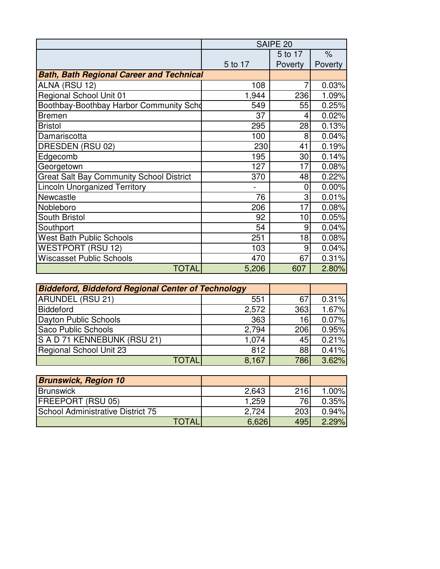|                                                 | SAIPE <sub>20</sub> |         |         |
|-------------------------------------------------|---------------------|---------|---------|
|                                                 |                     | 5 to 17 | $\%$    |
|                                                 | 5 to 17             | Poverty | Poverty |
| <b>Bath, Bath Regional Career and Technical</b> |                     |         |         |
| ALNA (RSU 12)                                   | 108                 |         | 0.03%   |
| <b>Regional School Unit 01</b>                  | 1,944               | 236     | 1.09%   |
| Boothbay-Boothbay Harbor Community Scho         | 549                 | 55      | 0.25%   |
| <b>Bremen</b>                                   | 37                  | 4       | 0.02%   |
| <b>Bristol</b>                                  | 295                 | 28      | 0.13%   |
| Damariscotta                                    | 100                 | 8       | 0.04%   |
| DRESDEN (RSU 02)                                | 230                 | 41      | 0.19%   |
| Edgecomb                                        | 195                 | 30      | 0.14%   |
| Georgetown                                      | 127                 | 17      | 0.08%   |
| <b>Great Salt Bay Community School District</b> | 370                 | 48      | 0.22%   |
| <b>Lincoln Unorganized Territory</b>            |                     | 0       | 0.00%   |
| Newcastle                                       | 76                  | 3       | 0.01%   |
| Nobleboro                                       | 206                 | 17      | 0.08%   |
| South Bristol                                   | 92                  | 10      | 0.05%   |
| Southport                                       | 54                  | 9       | 0.04%   |
| <b>West Bath Public Schools</b>                 | 251                 | 18      | 0.08%   |
| <b>WESTPORT (RSU 12)</b>                        | 103                 | 9       | 0.04%   |
| <b>Wiscasset Public Schools</b>                 | 470                 | 67      | 0.31%   |
| <b>TOTAL</b>                                    | 5,206               | 607     | 2.80%   |

| <b>Biddeford, Biddeford Regional Center of Technology</b> |       |     |       |
|-----------------------------------------------------------|-------|-----|-------|
| ARUNDEL (RSU 21)                                          | 551   | 67  | 0.31% |
| Biddeford                                                 | 2,572 | 363 | 1.67% |
| Dayton Public Schools                                     | 363   | 16  | 0.07% |
| Saco Public Schools                                       | 2,794 | 206 | 0.95% |
| S A D 71 KENNEBUNK (RSU 21)                               | 1.074 | 45  | 0.21% |
| Regional School Unit 23                                   | 812   | 88  | 0.41% |
| TOTAL                                                     | 8.167 | 786 | 3.62% |

| <b>Brunswick, Region 10</b>       |              |       |     |       |
|-----------------------------------|--------------|-------|-----|-------|
| <b>Brunswick</b>                  |              | 2,643 | 216 | 1.00% |
| <b>FREEPORT (RSU 05)</b>          |              | 1,259 | 76  | 0.35% |
| School Administrative District 75 |              | 2.724 | 203 | 0.94% |
|                                   | <b>TOTAL</b> | 6,626 | 495 | 2.29% |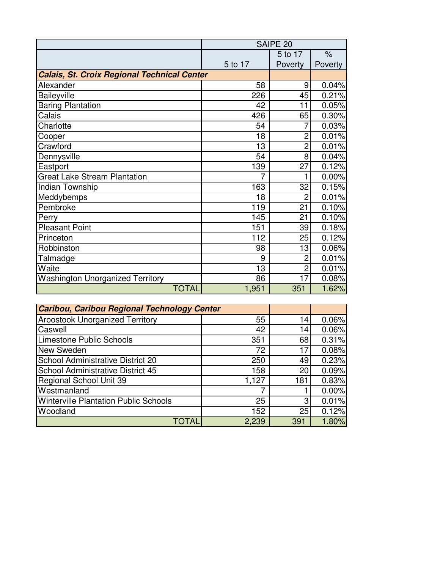|                                                    | SAIPE 20 |                |         |
|----------------------------------------------------|----------|----------------|---------|
|                                                    |          | 5 to 17        | $\%$    |
|                                                    | 5 to 17  | Poverty        | Poverty |
| <b>Calais, St. Croix Regional Technical Center</b> |          |                |         |
| Alexander                                          | 58       | 9              | 0.04%   |
| Baileyville                                        | 226      | 45             | 0.21%   |
| <b>Baring Plantation</b>                           | 42       | 11             | 0.05%   |
| Calais                                             | 426      | 65             | 0.30%   |
| Charlotte                                          | 54       |                | 0.03%   |
| Cooper                                             | 18       | 2              | 0.01%   |
| Crawford                                           | 13       | $\overline{2}$ | 0.01%   |
| Dennysville                                        | 54       | 8              | 0.04%   |
| Eastport                                           | 139      | 27             | 0.12%   |
| <b>Great Lake Stream Plantation</b>                | 7        |                | 0.00%   |
| Indian Township                                    | 163      | 32             | 0.15%   |
| Meddybemps                                         | 18       | $\overline{2}$ | 0.01%   |
| Pembroke                                           | 119      | 21             | 0.10%   |
| Perry                                              | 145      | 21             | 0.10%   |
| <b>Pleasant Point</b>                              | 151      | 39             | 0.18%   |
| Princeton                                          | 112      | 25             | 0.12%   |
| Robbinston                                         | 98       | 13             | 0.06%   |
| Talmadge                                           | 9        | 2              | 0.01%   |
| Waite                                              | 13       | $\overline{2}$ | 0.01%   |
| <b>Washington Unorganized Territory</b>            | 86       | 17             | 0.08%   |
| <b>TOTAL</b>                                       | 1,951    | 351            | 1.62%   |

| <b>Caribou, Caribou Regional Technology Center</b> |       |     |       |
|----------------------------------------------------|-------|-----|-------|
| <b>Aroostook Unorganized Territory</b>             | 55    | 14  | 0.06% |
| Caswell                                            | 42    | 14  | 0.06% |
| <b>Limestone Public Schools</b>                    | 351   | 68  | 0.31% |
| New Sweden                                         | 72    | 17  | 0.08% |
| School Administrative District 20                  | 250   | 49  | 0.23% |
| <b>School Administrative District 45</b>           | 158   | 20  | 0.09% |
| <b>Regional School Unit 39</b>                     | 1,127 | 181 | 0.83% |
| Westmanland                                        | 7     |     | 0.00% |
| <b>Winterville Plantation Public Schools</b>       | 25    | З   | 0.01% |
| Woodland                                           | 152   | 25  | 0.12% |
| <b>TOTAI</b>                                       | 2,239 | 391 | 1.80% |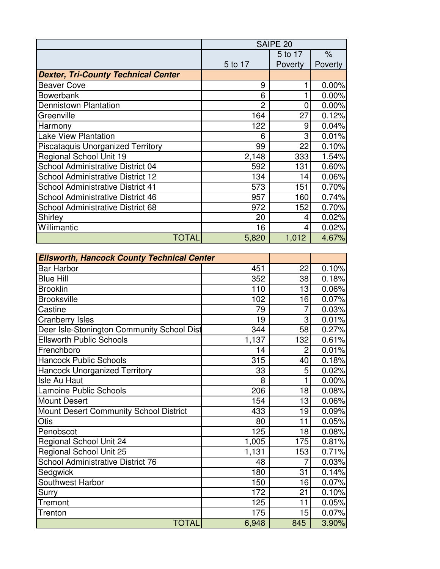|                                            | SAIPE <sub>20</sub> |         |         |
|--------------------------------------------|---------------------|---------|---------|
|                                            |                     | 5 to 17 | $\%$    |
|                                            | 5 to 17             | Poverty | Poverty |
| <b>Dexter, Tri-County Technical Center</b> |                     |         |         |
| <b>Beaver Cove</b>                         | 9                   |         | 0.00%   |
| <b>Bowerbank</b>                           | 6                   |         | 0.00%   |
| <b>Dennistown Plantation</b>               | $\overline{2}$      | 0       | 0.00%   |
| Greenville                                 | 164                 | 27      | 0.12%   |
| Harmony                                    | 122                 | 9       | 0.04%   |
| <b>Lake View Plantation</b>                | 6                   | 3       | 0.01%   |
| <b>Piscataquis Unorganized Territory</b>   | 99                  | 22      | 0.10%   |
| <b>Regional School Unit 19</b>             | 2,148               | 333     | 1.54%   |
| School Administrative District 04          | 592                 | 131     | 0.60%   |
| <b>School Administrative District 12</b>   | 134                 | 14      | 0.06%   |
| <b>School Administrative District 41</b>   | 573                 | 151     | 0.70%   |
| School Administrative District 46          | 957                 | 160     | 0.74%   |
| <b>School Administrative District 68</b>   | 972                 | 152     | 0.70%   |
| Shirley                                    | 20                  | 4       | 0.02%   |
| Willimantic                                | 16                  | 4       | 0.02%   |
| TOTAL                                      | 5,820               | 1,012   | 4.67%   |

| <b>Ellsworth, Hancock County Technical Center</b> |       |                |          |
|---------------------------------------------------|-------|----------------|----------|
| <b>Bar Harbor</b>                                 | 451   | 22             | 0.10%    |
| <b>Blue Hill</b>                                  | 352   | 38             | 0.18%    |
| <b>Brooklin</b>                                   | 110   | 13             | 0.06%    |
| <b>Brooksville</b>                                | 102   | 16             | 0.07%    |
| Castine                                           | 79    | $\overline{7}$ | 0.03%    |
| <b>Cranberry Isles</b>                            | 19    | 3              | 0.01%    |
| Deer Isle-Stonington Community School Dist        | 344   | 58             | 0.27%    |
| <b>Ellsworth Public Schools</b>                   | 1,137 | 132            | 0.61%    |
| Frenchboro                                        | 14    | $\overline{2}$ | $0.01\%$ |
| <b>Hancock Public Schools</b>                     | 315   | 40             | 0.18%    |
| <b>Hancock Unorganized Territory</b>              | 33    | 5              | 0.02%    |
| Isle Au Haut                                      | 8     |                | 0.00%    |
| <b>Lamoine Public Schools</b>                     | 206   | 18             | 0.08%    |
| <b>Mount Desert</b>                               | 154   | 13             | 0.06%    |
| Mount Desert Community School District            | 433   | 19             | 0.09%    |
| Otis                                              | 80    | 11             | 0.05%    |
| Penobscot                                         | 125   | 18             | 0.08%    |
| <b>Regional School Unit 24</b>                    | 1,005 | 175            | 0.81%    |
| Regional School Unit 25                           | 1,131 | 153            | 0.71%    |
| School Administrative District 76                 | 48    |                | 0.03%    |
| Sedgwick                                          | 180   | 31             | 0.14%    |
| Southwest Harbor                                  | 150   | 16             | 0.07%    |
| Surry                                             | 172   | 21             | 0.10%    |
| <b>Tremont</b>                                    | 125   | 11             | 0.05%    |
| Trenton                                           | 175   | 15             | 0.07%    |
| <b>TOTAL</b>                                      | 6,948 | 845            | 3.90%    |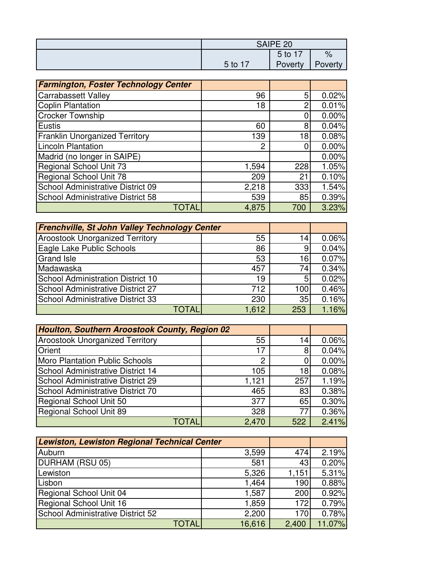| SAIPE <sub>20</sub> |                 |         |
|---------------------|-----------------|---------|
|                     | 5 <sub>to</sub> | $\%$    |
| 5 to 17             | Poverty         | Poverty |

| <b>Farmington, Foster Technology Center</b> |       |     |       |
|---------------------------------------------|-------|-----|-------|
| <b>Carrabassett Valley</b>                  | 96    | 5   | 0.02% |
| <b>Coplin Plantation</b>                    | 18    | റ   | 0.01% |
| <b>Crocker Township</b>                     |       |     | 0.00% |
| <b>Eustis</b>                               | 60    | 8   | 0.04% |
| <b>Franklin Unorganized Territory</b>       | 139   | 18  | 0.08% |
| <b>Lincoln Plantation</b>                   | 2     |     | 0.00% |
| Madrid (no longer in SAIPE)                 |       |     | 0.00% |
| Regional School Unit 73                     | 1,594 | 228 | 1.05% |
| <b>Regional School Unit 78</b>              | 209   | 21  | 0.10% |
| School Administrative District 09           | 2,218 | 333 | 1.54% |
| School Administrative District 58           | 539   | 85  | 0.39% |
| TOTAL                                       | 4,875 | 700 | 3.23% |

| <b>Frenchville, St John Valley Technology Center</b> |              |       |     |       |
|------------------------------------------------------|--------------|-------|-----|-------|
| <b>Aroostook Unorganized Territory</b>               |              | 55    | 14  | 0.06% |
| Eagle Lake Public Schools                            |              | 86    |     | 0.04% |
| <b>Grand Isle</b>                                    |              | 53    | 16  | 0.07% |
| Madawaska                                            |              | 457   | 74  | 0.34% |
| <b>School Administration District 10</b>             |              | 19    | 5   | 0.02% |
| <b>School Administrative District 27</b>             |              | 712   | 100 | 0.46% |
| School Administrative District 33                    |              | 230   | 35  | 0.16% |
|                                                      | <b>TOTAL</b> | 1,612 | 253 | 1.16% |

| Houlton, Southern Aroostook County, Region 02 |                |     |       |
|-----------------------------------------------|----------------|-----|-------|
| <b>Aroostook Unorganized Territory</b>        | 55             | 14  | 0.06% |
| Orient                                        | 17             |     | 0.04% |
| Moro Plantation Public Schools                | $\overline{2}$ |     | 0.00% |
| School Administrative District 14             | 105            | 18  | 0.08% |
| School Administrative District 29             | 1,121          | 257 | 1.19% |
| School Administrative District 70             | 465            | 83  | 0.38% |
| Regional School Unit 50                       | 377            | 65  | 0.30% |
| Regional School Unit 89                       | 328            | 77  | 0.36% |
| TOTAI                                         | 2,470          | 522 | 2.41% |

| <b>Lewiston, Lewiston Regional Technical Center</b> |        |       |        |
|-----------------------------------------------------|--------|-------|--------|
| Auburn                                              | 3,599  | 474   | 2.19%  |
| DURHAM (RSU 05)                                     | 581    | 43    | 0.20%  |
| Lewiston                                            | 5,326  | 1,151 | 5.31%  |
| Lisbon                                              | 1,464  | 190   | 0.88%  |
| Regional School Unit 04                             | 1,587  | 200   | 0.92%  |
| Regional School Unit 16                             | 1,859  | 172   | 0.79%  |
| School Administrative District 52                   | 2,200  | 170   | 0.78%  |
| TOTAL                                               | 16,616 | 2,400 | 11.07% |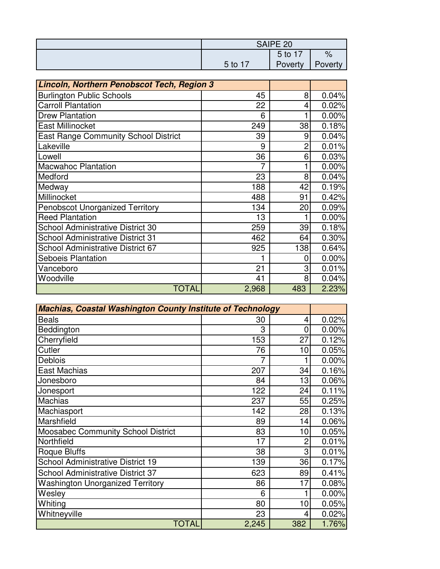| SAIPE 20 |         |               |
|----------|---------|---------------|
|          | $5$ to  | $\frac{1}{2}$ |
| 5 to 17  | Poverty | Poverty       |

| Lincoln, Northern Penobscot Tech, Region 3  |       |     |       |
|---------------------------------------------|-------|-----|-------|
| <b>Burlington Public Schools</b>            | 45    | 8   | 0.04% |
| <b>Carroll Plantation</b>                   | 22    | 4   | 0.02% |
| <b>Drew Plantation</b>                      | 6     |     | 0.00% |
| East Millinocket                            | 249   | 38  | 0.18% |
| <b>East Range Community School District</b> | 39    | 9   | 0.04% |
| Lakeville                                   | 9     | 2   | 0.01% |
| Lowell                                      | 36    | 6   | 0.03% |
| <b>Macwahoc Plantation</b>                  | 7     |     | 0.00% |
| Medford                                     | 23    | 8   | 0.04% |
| Medway                                      | 188   | 42  | 0.19% |
| Millinocket                                 | 488   | 91  | 0.42% |
| <b>Penobscot Unorganized Territory</b>      | 134   | 20  | 0.09% |
| <b>Reed Plantation</b>                      | 13    |     | 0.00% |
| <b>School Administrative District 30</b>    | 259   | 39  | 0.18% |
| <b>School Administrative District 31</b>    | 462   | 64  | 0.30% |
| School Administrative District 67           | 925   | 138 | 0.64% |
| <b>Seboeis Plantation</b>                   | 1     | 0   | 0.00% |
| Vanceboro                                   | 21    | 3   | 0.01% |
| Woodville                                   | 41    | 8   | 0.04% |
| TOTAL                                       | 2,968 | 483 | 2.23% |

| <b>Machias, Coastal Washington County Institute of Technology</b> |       |                |       |
|-------------------------------------------------------------------|-------|----------------|-------|
| <b>Beals</b>                                                      | 30    | 4              | 0.02% |
| Beddington                                                        | 3     | 0              | 0.00% |
| Cherryfield                                                       | 153   | 27             | 0.12% |
| Cutler                                                            | 76    | 10             | 0.05% |
| Deblois                                                           | 7     |                | 0.00% |
| East Machias                                                      | 207   | 34             | 0.16% |
| Jonesboro                                                         | 84    | 13             | 0.06% |
| Jonesport                                                         | 122   | 24             | 0.11% |
| <b>Machias</b>                                                    | 237   | 55             | 0.25% |
| Machiasport                                                       | 142   | 28             | 0.13% |
| Marshfield                                                        | 89    | 14             | 0.06% |
| <b>Moosabec Community School District</b>                         | 83    | 10             | 0.05% |
| Northfield                                                        | 17    | $\overline{2}$ | 0.01% |
| <b>Roque Bluffs</b>                                               | 38    | 3              | 0.01% |
| <b>School Administrative District 19</b>                          | 139   | 36             | 0.17% |
| <b>School Administrative District 37</b>                          | 623   | 89             | 0.41% |
| <b>Washington Unorganized Territory</b>                           | 86    | 17             | 0.08% |
| Wesley                                                            | 6     |                | 0.00% |
| Whiting                                                           | 80    | 10             | 0.05% |
| Whitneyville                                                      | 23    | 4              | 0.02% |
| <b>TOTAL</b>                                                      | 2,245 | 382            | 1.76% |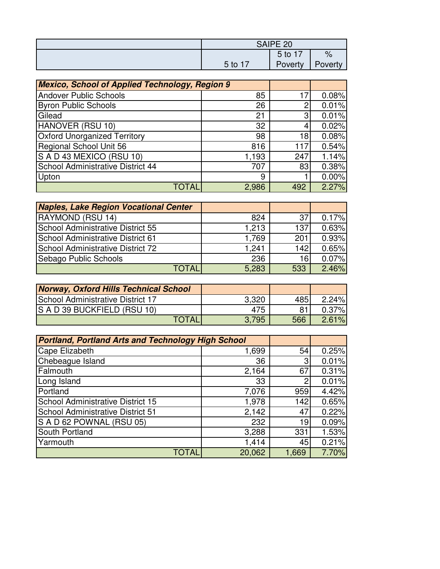| SAIPE 20   |         |               |
|------------|---------|---------------|
|            | $5$ to  | $\frac{9}{6}$ |
| $5$ to $7$ | Poverty | Poverty       |

| <b>Mexico, School of Applied Technology, Region 9</b> |       |     |       |
|-------------------------------------------------------|-------|-----|-------|
| <b>Andover Public Schools</b>                         | 85    | 17  | 0.08% |
| <b>Byron Public Schools</b>                           | 26    |     | 0.01% |
| Gilead                                                | 21    | 3   | 0.01% |
| HANOVER (RSU 10)                                      | 32    |     | 0.02% |
| <b>Oxford Unorganized Territory</b>                   | 98    | 18  | 0.08% |
| Regional School Unit 56                               | 816   | 117 | 0.54% |
| S A D 43 MEXICO (RSU 10)                              | 1,193 | 247 | 1.14% |
| School Administrative District 44                     | 707   | 83  | 0.38% |
| Upton                                                 | 9     |     | 0.00% |
| TOTAL                                                 | 2,986 | 492 | 2.27% |

| <b>Naples, Lake Region Vocational Center</b> |       |     |       |
|----------------------------------------------|-------|-----|-------|
| RAYMOND (RSU 14)                             | 824   | 37  | 0.17% |
| <b>School Administrative District 55</b>     | 1.213 | 137 | 0.63% |
| <b>School Administrative District 61</b>     | 1,769 | 201 | 0.93% |
| <b>School Administrative District 72</b>     | 1.241 | 142 | 0.65% |
| Sebago Public Schools                        | 236   | 16  | 0.07% |
| <b>TOTAL</b>                                 | 5,283 | 533 | 2.46% |

| <b>Norway, Oxford Hills Technical School</b> |       |     |       |
|----------------------------------------------|-------|-----|-------|
| <b>School Administrative District 17</b>     | 3,320 | 485 | 2.24% |
| S A D 39 BUCKFIELD (RSU 10)                  | 475   |     | 0.37% |
| <b>TOTAL</b>                                 | 3.795 | 566 | 2.61% |

| <b>Portland, Portland Arts and Technology High School</b> |        |       |       |
|-----------------------------------------------------------|--------|-------|-------|
| Cape Elizabeth                                            | 1,699  | 54    | 0.25% |
| Chebeague Island                                          | 36     | 3     | 0.01% |
| Falmouth                                                  | 2,164  | 67    | 0.31% |
| Long Island                                               | 33     | 2     | 0.01% |
| Portland                                                  | 7,076  | 959   | 4.42% |
| <b>School Administrative District 15</b>                  | 1,978  | 142   | 0.65% |
| <b>School Administrative District 51</b>                  | 2,142  | 47    | 0.22% |
| S A D 62 POWNAL (RSU 05)                                  | 232    | 19    | 0.09% |
| South Portland                                            | 3,288  | 331   | 1.53% |
| Yarmouth                                                  | 1,414  | 45    | 0.21% |
| TOTAI                                                     | 20,062 | 1,669 | 7.70% |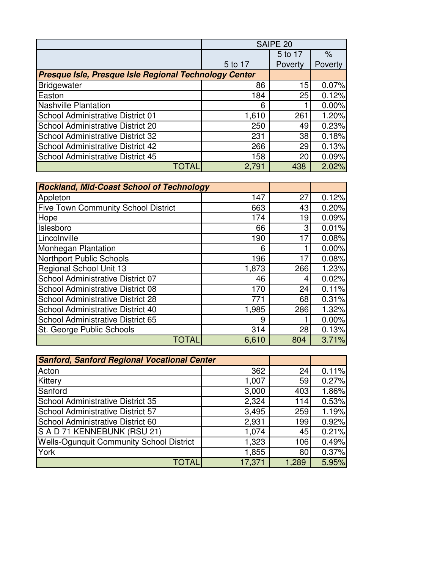|                                                       | SAIPE 20 |         |         |
|-------------------------------------------------------|----------|---------|---------|
|                                                       |          | 5 to 17 | %       |
|                                                       | 5 to 17  | Poverty | Poverty |
| Presque Isle, Presque Isle Regional Technology Center |          |         |         |
| <b>Bridgewater</b>                                    | 86       | 15      | 0.07%   |
| Easton                                                | 184      | 25      | 0.12%   |
| <b>Nashville Plantation</b>                           | 6        |         | 0.00%   |
| School Administrative District 01                     | 1,610    | 261     | 1.20%   |
| School Administrative District 20                     | 250      | 49      | 0.23%   |
| <b>School Administrative District 32</b>              | 231      | 38      | 0.18%   |
| <b>School Administrative District 42</b>              | 266      | 29      | 0.13%   |
| School Administrative District 45                     | 158      | 20      | 0.09%   |
| TOTAL                                                 | 2,791    | 438     | 2.02%   |

| <b>Rockland, Mid-Coast School of Technology</b> |       |     |       |
|-------------------------------------------------|-------|-----|-------|
| Appleton                                        | 147   | 27  | 0.12% |
| <b>Five Town Community School District</b>      | 663   | 43  | 0.20% |
| Hope                                            | 174   | 19  | 0.09% |
| Islesboro                                       | 66    | 3   | 0.01% |
| Lincolnville                                    | 190   | 17  | 0.08% |
| <b>Monhegan Plantation</b>                      | 6     |     | 0.00% |
| <b>Northport Public Schools</b>                 | 196   | 17  | 0.08% |
| Regional School Unit 13                         | 1,873 | 266 | 1.23% |
| School Administrative District 07               | 46    | 4   | 0.02% |
| <b>School Administrative District 08</b>        | 170   | 24  | 0.11% |
| <b>School Administrative District 28</b>        | 771   | 68  | 0.31% |
| <b>School Administrative District 40</b>        | 1,985 | 286 | 1.32% |
| <b>School Administrative District 65</b>        | 9     |     | 0.00% |
| St. George Public Schools                       | 314   | 28  | 0.13% |
| TOTAL                                           | 6,610 | 804 | 3.71% |

| <b>Sanford, Sanford Regional Vocational Center</b> |        |       |       |
|----------------------------------------------------|--------|-------|-------|
| Acton                                              | 362    | 24    | 0.11% |
| Kittery                                            | 1,007  | 59    | 0.27% |
| Sanford                                            | 3,000  | 403   | 1.86% |
| School Administrative District 35                  | 2,324  | 114   | 0.53% |
| School Administrative District 57                  | 3,495  | 259   | 1.19% |
| School Administrative District 60                  | 2,931  | 199   | 0.92% |
| S A D 71 KENNEBUNK (RSU 21)                        | 1,074  | 45    | 0.21% |
| <b>Wells-Ogunquit Community School District</b>    | 1,323  | 106   | 0.49% |
| York                                               | 1,855  | 80    | 0.37% |
| TOTAL                                              | 17,371 | 1,289 | 5.95% |